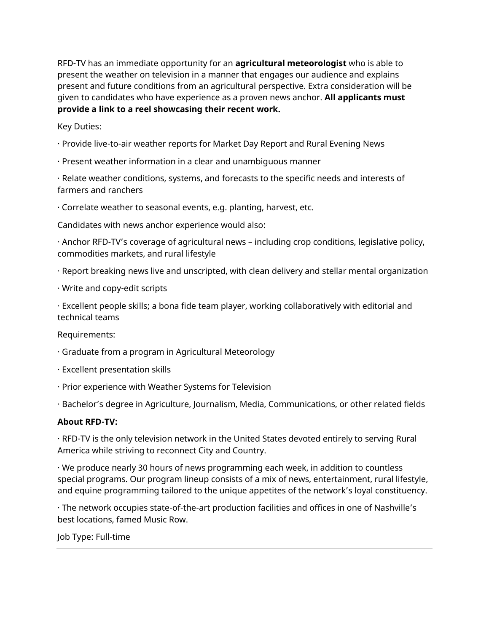RFD-TV has an immediate opportunity for an **agricultural meteorologist** who is able to present the weather on television in a manner that engages our audience and explains present and future conditions from an agricultural perspective. Extra consideration will be given to candidates who have experience as a proven news anchor. **All applicants must provide a link to a reel showcasing their recent work.**

Key Duties:

- · Provide live-to-air weather reports for Market Day Report and Rural Evening News
- · Present weather information in a clear and unambiguous manner

· Relate weather conditions, systems, and forecasts to the specific needs and interests of farmers and ranchers

· Correlate weather to seasonal events, e.g. planting, harvest, etc.

Candidates with news anchor experience would also:

· Anchor RFD-TV's coverage of agricultural news – including crop conditions, legislative policy, commodities markets, and rural lifestyle

- · Report breaking news live and unscripted, with clean delivery and stellar mental organization
- · Write and copy-edit scripts

· Excellent people skills; a bona fide team player, working collaboratively with editorial and technical teams

Requirements:

- · Graduate from a program in Agricultural Meteorology
- · Excellent presentation skills
- · Prior experience with Weather Systems for Television
- · Bachelor's degree in Agriculture, Journalism, Media, Communications, or other related fields

## **About RFD-TV:**

· RFD-TV is the only television network in the United States devoted entirely to serving Rural America while striving to reconnect City and Country.

· We produce nearly 30 hours of news programming each week, in addition to countless special programs. Our program lineup consists of a mix of news, entertainment, rural lifestyle, and equine programming tailored to the unique appetites of the network's loyal constituency.

· The network occupies state-of-the-art production facilities and offices in one of Nashville's best locations, famed Music Row.

Job Type: Full-time